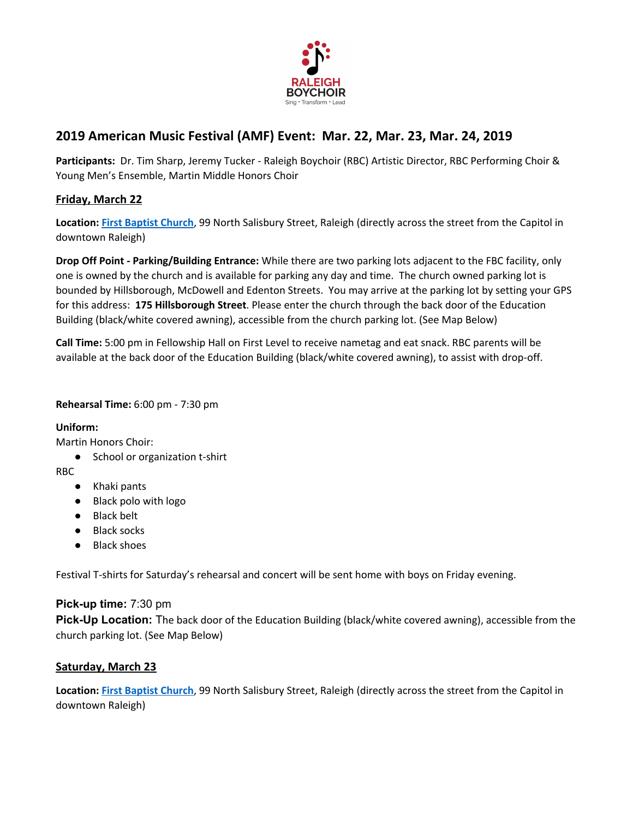

# **2019 American Music Festival (AMF) Event: Mar. 22, Mar. 23, Mar. 24, 2019**

**Participants:** Dr. Tim Sharp, Jeremy Tucker - Raleigh Boychoir (RBC) Artistic Director, RBC Performing Choir & Young Men's Ensemble, Martin Middle Honors Choir

# **Friday, March 22**

**Location: First [Baptist](http://fbcraleigh.org/baptist-church-raleigh/) Church**, 99 North Salisbury Street, Raleigh (directly across the street from the Capitol in downtown Raleigh)

**Drop Off Point - Parking/Building Entrance:** While there are two parking lots adjacent to the FBC facility, only one is owned by the church and is available for parking any day and time. The church owned parking lot is bounded by Hillsborough, McDowell and Edenton Streets. You may arrive at the parking lot by setting your GPS for this address: **175 Hillsborough Street**. Please enter the church through the back door of the Education Building (black/white covered awning), accessible from the church parking lot. (See Map Below)

**Call Time:** 5:00 pm in Fellowship Hall on First Level to receive nametag and eat snack. RBC parents will be available at the back door of the Education Building (black/white covered awning), to assist with drop-off.

#### **Rehearsal Time:** 6:00 pm - 7:30 pm

**Uniform:**

Martin Honors Choir:

● School or organization t-shirt

RBC

- Khaki pants
- Black polo with logo
- Black belt
- Black socks
- Black shoes

Festival T-shirts for Saturday's rehearsal and concert will be sent home with boys on Friday evening.

## **Pick-up time:** 7:30 pm

**Pick-Up Location:** The back door of the Education Building (black/white covered awning), accessible from the church parking lot. (See Map Below)

## **Saturday, March 23**

**Location: First [Baptist](http://fbcraleigh.org/baptist-church-raleigh/) Church**, 99 North Salisbury Street, Raleigh (directly across the street from the Capitol in downtown Raleigh)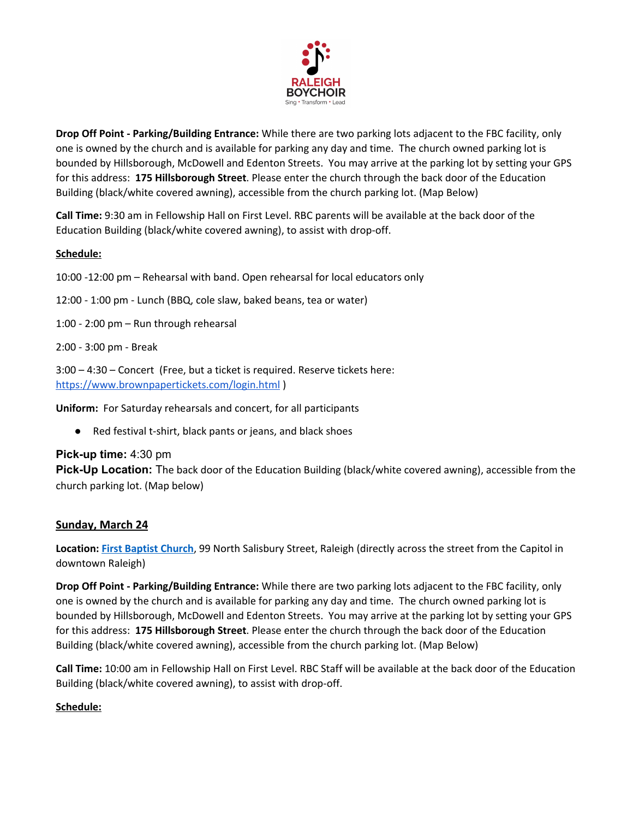

**Drop Off Point - Parking/Building Entrance:** While there are two parking lots adjacent to the FBC facility, only one is owned by the church and is available for parking any day and time. The church owned parking lot is bounded by Hillsborough, McDowell and Edenton Streets. You may arrive at the parking lot by setting your GPS for this address: **175 Hillsborough Street**. Please enter the church through the back door of the Education Building (black/white covered awning), accessible from the church parking lot. (Map Below)

**Call Time:** 9:30 am in Fellowship Hall on First Level. RBC parents will be available at the back door of the Education Building (black/white covered awning), to assist with drop-off.

## **Schedule:**

10:00 -12:00 pm – Rehearsal with band. Open rehearsal for local educators only

12:00 - 1:00 pm - Lunch (BBQ, cole slaw, baked beans, tea or water)

1:00 - 2:00 pm – Run through rehearsal

2:00 - 3:00 pm - Break

3:00 – 4:30 – Concert (Free, but a ticket is required. Reserve tickets here: <https://www.brownpapertickets.com/login.html> )

**Uniform:** For Saturday rehearsals and concert, for all participants

● Red festival t-shirt, black pants or jeans, and black shoes

## **Pick-up time:** 4:30 pm

**Pick-Up Location:** The back door of the Education Building (black/white covered awning), accessible from the church parking lot. (Map below)

## **Sunday, March 24**

**Location: First [Baptist](http://fbcraleigh.org/baptist-church-raleigh/) Church**, 99 North Salisbury Street, Raleigh (directly across the street from the Capitol in downtown Raleigh)

**Drop Off Point - Parking/Building Entrance:** While there are two parking lots adjacent to the FBC facility, only one is owned by the church and is available for parking any day and time. The church owned parking lot is bounded by Hillsborough, McDowell and Edenton Streets. You may arrive at the parking lot by setting your GPS for this address: **175 Hillsborough Street**. Please enter the church through the back door of the Education Building (black/white covered awning), accessible from the church parking lot. (Map Below)

**Call Time:** 10:00 am in Fellowship Hall on First Level. RBC Staff will be available at the back door of the Education Building (black/white covered awning), to assist with drop-off.

#### **Schedule:**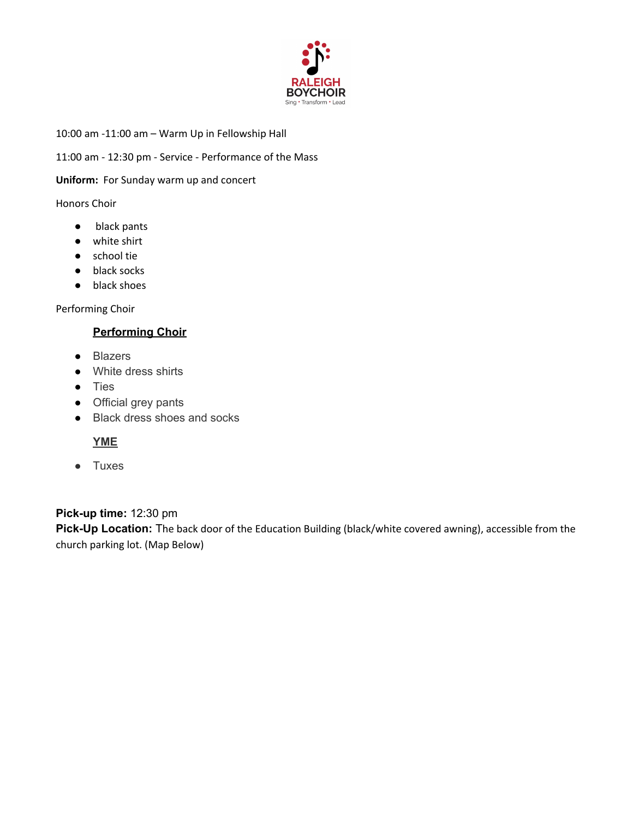

10:00 am -11:00 am – Warm Up in Fellowship Hall

11:00 am - 12:30 pm - Service - Performance of the Mass

**Uniform:** For Sunday warm up and concert

#### Honors Choir

- black pants
- white shirt
- school tie
- black socks
- black shoes

Performing Choir

## **Performing Choir**

- Blazers
- White dress shirts
- Ties
- Official grey pants
- Black dress shoes and socks

## **YME**

● Tuxes

**Pick-up time:** 12:30 pm **Pick-Up Location:** The back door of the Education Building (black/white covered awning), accessible from the church parking lot. (Map Below)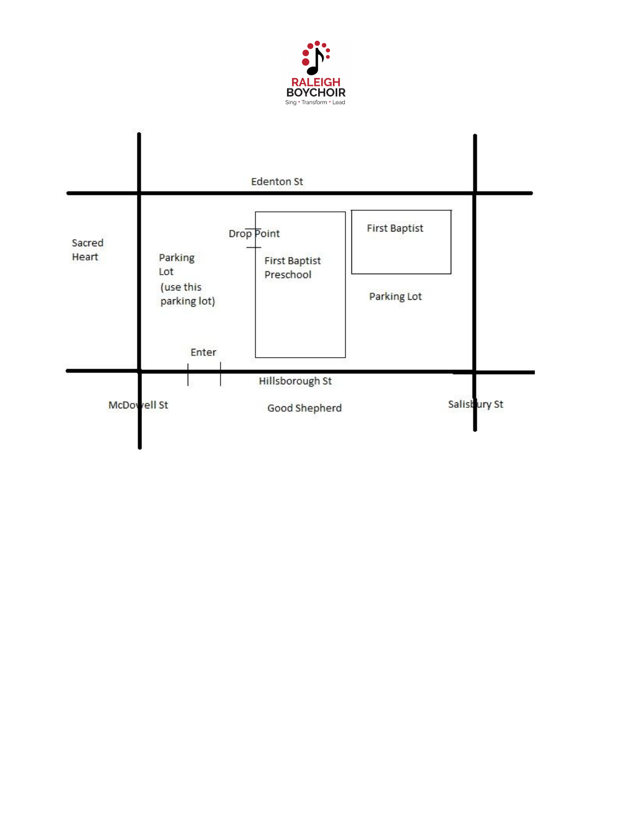